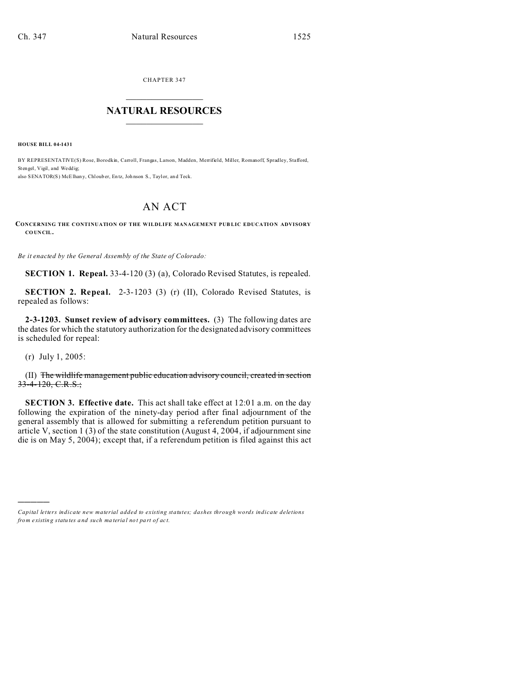CHAPTER 347  $\overline{\phantom{a}}$  , where  $\overline{\phantom{a}}$ 

## **NATURAL RESOURCES**  $\frac{1}{\sqrt{2}}$  ,  $\frac{1}{\sqrt{2}}$  ,  $\frac{1}{\sqrt{2}}$  ,  $\frac{1}{\sqrt{2}}$  ,  $\frac{1}{\sqrt{2}}$  ,  $\frac{1}{\sqrt{2}}$

**HOUSE BILL 04-1431**

BY REPRESENTATIVE(S) Rose, Borodkin, Carroll, Frangas, Larson, Madden, Merrifield, Miller, Romanoff, Spradley, Stafford, Stengel, Vigil, and Wedd ig: also SENATOR(S) McElhany, Chloub er, Entz, Johnson S., Taylor, and Teck.

## AN ACT

**CONCERNING THE CONTINUATION OF THE WILDLIFE MANAGEMENT PUB LIC EDUCATION ADVISORY CO UNCIL.**

*Be it enacted by the General Assembly of the State of Colorado:*

**SECTION 1. Repeal.** 33-4-120 (3) (a), Colorado Revised Statutes, is repealed.

**SECTION 2. Repeal.** 2-3-1203 (3) (r) (II), Colorado Revised Statutes, is repealed as follows:

**2-3-1203. Sunset review of advisory committees.** (3) The following dates are the dates for which the statutory authorization for the designated advisory committees is scheduled for repeal:

(r) July 1, 2005:

)))))

(II) The wildlife management public education advisory council, created in section 33-4-120, C.R.S.;

**SECTION 3. Effective date.** This act shall take effect at 12:01 a.m. on the day following the expiration of the ninety-day period after final adjournment of the general assembly that is allowed for submitting a referendum petition pursuant to article V, section 1 (3) of the state constitution (August 4, 2004, if adjournment sine die is on May 5, 2004); except that, if a referendum petition is filed against this act

*Capital letters indicate new material added to existing statutes; dashes through words indicate deletions from e xistin g statu tes a nd such ma teria l no t pa rt of ac t.*